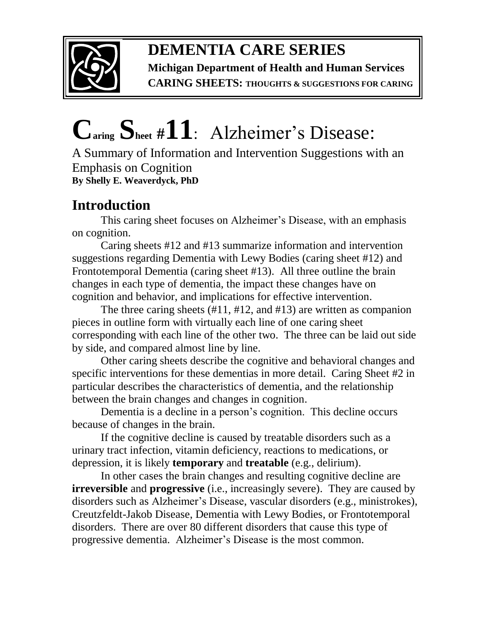

# **DEMENTIA CARE SERIES**

**Michigan Department of Health and Human Services CARING SHEETS: THOUGHTS & SUGGESTIONS FOR CARING**

# **Caring Sheet #11**:Alzheimer's Disease:

A Summary of Information and Intervention Suggestions with an Emphasis on Cognition **By Shelly E. Weaverdyck, PhD**

## **Introduction**

This caring sheet focuses on Alzheimer's Disease, with an emphasis on cognition.

Caring sheets #12 and #13 summarize information and intervention suggestions regarding Dementia with Lewy Bodies (caring sheet #12) and Frontotemporal Dementia (caring sheet #13). All three outline the brain changes in each type of dementia, the impact these changes have on cognition and behavior, and implications for effective intervention.

The three caring sheets (#11, #12, and #13) are written as companion pieces in outline form with virtually each line of one caring sheet corresponding with each line of the other two. The three can be laid out side by side, and compared almost line by line.

Other caring sheets describe the cognitive and behavioral changes and specific interventions for these dementias in more detail. Caring Sheet #2 in particular describes the characteristics of dementia, and the relationship between the brain changes and changes in cognition.

Dementia is a decline in a person's cognition. This decline occurs because of changes in the brain.

If the cognitive decline is caused by treatable disorders such as a urinary tract infection, vitamin deficiency, reactions to medications, or depression, it is likely **temporary** and **treatable** (e.g., delirium).

In other cases the brain changes and resulting cognitive decline are **irreversible** and **progressive** (i.e., increasingly severe). They are caused by disorders such as Alzheimer's Disease, vascular disorders (e.g., ministrokes), Creutzfeldt-Jakob Disease, Dementia with Lewy Bodies, or Frontotemporal disorders. There are over 80 different disorders that cause this type of progressive dementia. Alzheimer's Disease is the most common.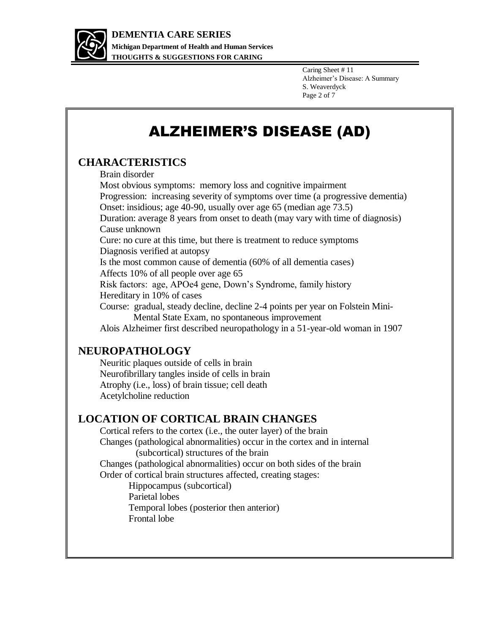

Caring Sheet # 11 Alzheimer's Disease: A Summary S. Weaverdyck Page 2 of 7

# ALZHEIMER'S DISEASE (AD)

#### **CHARACTERISTICS**

Brain disorder

Most obvious symptoms: memory loss and cognitive impairment Progression: increasing severity of symptoms over time (a progressive dementia) Onset: insidious; age 40-90, usually over age 65 (median age 73.5) Duration: average 8 years from onset to death (may vary with time of diagnosis) Cause unknown Cure: no cure at this time, but there is treatment to reduce symptoms Diagnosis verified at autopsy Is the most common cause of dementia (60% of all dementia cases) Affects 10% of all people over age 65 Risk factors: age, APOe4 gene, Down's Syndrome, family history Hereditary in 10% of cases Course: gradual, steady decline, decline 2-4 points per year on Folstein Mini- Mental State Exam, no spontaneous improvement Alois Alzheimer first described neuropathology in a 51-year-old woman in 1907

#### **NEUROPATHOLOGY**

Neuritic plaques outside of cells in brain Neurofibrillary tangles inside of cells in brain Atrophy (i.e., loss) of brain tissue; cell death Acetylcholine reduction

#### **LOCATION OF CORTICAL BRAIN CHANGES**

Cortical refers to the cortex (i.e., the outer layer) of the brain Changes (pathological abnormalities) occur in the cortex and in internal (subcortical) structures of the brain Changes (pathological abnormalities) occur on both sides of the brain Order of cortical brain structures affected, creating stages:

Hippocampus (subcortical) Parietal lobes Temporal lobes (posterior then anterior) Frontal lobe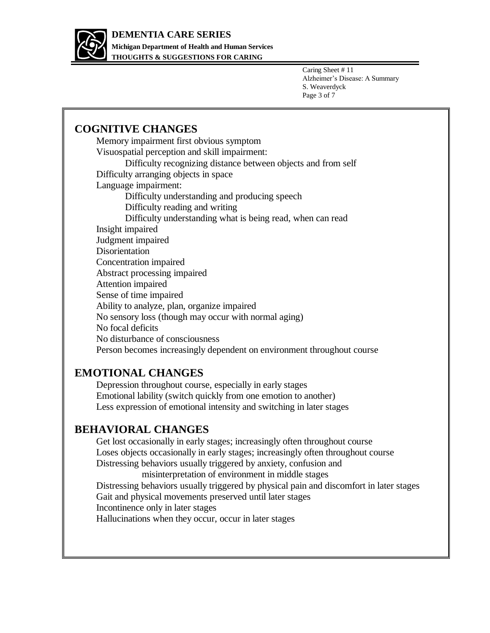

**THOUGHTS & SUGGESTIONS FOR CARING**

Caring Sheet # 11 Alzheimer's Disease: A Summary S. Weaverdyck Page 3 of 7

#### **COGNITIVE CHANGES**

Memory impairment first obvious symptom Visuospatial perception and skill impairment: Difficulty recognizing distance between objects and from self Difficulty arranging objects in space Language impairment: Difficulty understanding and producing speech Difficulty reading and writing Difficulty understanding what is being read, when can read Insight impaired Judgment impaired Disorientation Concentration impaired Abstract processing impaired Attention impaired Sense of time impaired Ability to analyze, plan, organize impaired No sensory loss (though may occur with normal aging) No focal deficits No disturbance of consciousness Person becomes increasingly dependent on environment throughout course

#### **EMOTIONAL CHANGES**

Depression throughout course, especially in early stages Emotional lability (switch quickly from one emotion to another) Less expression of emotional intensity and switching in later stages

#### **BEHAVIORAL CHANGES**

Get lost occasionally in early stages; increasingly often throughout course Loses objects occasionally in early stages; increasingly often throughout course Distressing behaviors usually triggered by anxiety, confusion and

 misinterpretation of environment in middle stages Distressing behaviors usually triggered by physical pain and discomfort in later stages Gait and physical movements preserved until later stages Incontinence only in later stages Hallucinations when they occur, occur in later stages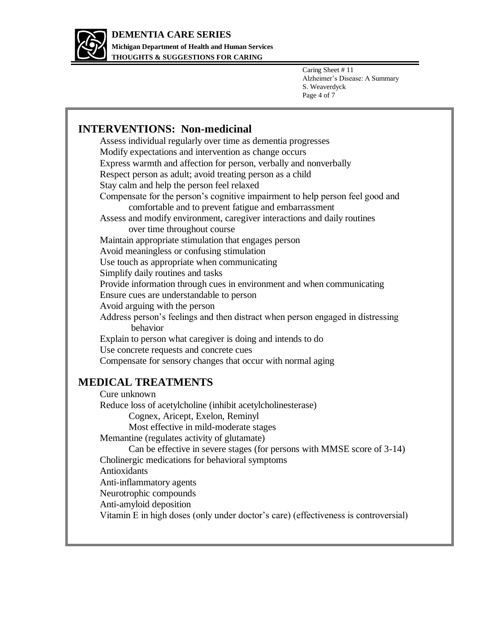

**THOUGHTS & SUGGESTIONS FOR CARING**

Caring Sheet # 11 Alzheimer's Disease: A Summary S. Weaverdyck Page 4 of 7

#### **INTERVENTIONS: Non-medicinal**  Assess individual regularly over time as dementia progresses Modify expectations and intervention as change occurs Express warmth and affection for person, verbally and nonverbally Respect person as adult; avoid treating person as a child Stay calm and help the person feel relaxed Compensate for the person's cognitive impairment to help person feel good and comfortable and to prevent fatigue and embarrassment Assess and modify environment, caregiver interactions and daily routines over time throughout course Maintain appropriate stimulation that engages person Avoid meaningless or confusing stimulation Use touch as appropriate when communicating Simplify daily routines and tasks Provide information through cues in environment and when communicating Ensure cues are understandable to person Avoid arguing with the person Address person's feelings and then distract when person engaged in distressing behavior Explain to person what caregiver is doing and intends to do Use concrete requests and concrete cues Compensate for sensory changes that occur with normal aging **MEDICAL TREATMENTS**  Cure unknown Reduce loss of acetylcholine (inhibit acetylcholinesterase) Cognex, Aricept, Exelon, Reminyl Most effective in mild-moderate stages Memantine (regulates activity of glutamate) Can be effective in severe stages (for persons with MMSE score of 3-14) Cholinergic medications for behavioral symptoms Antioxidants Anti-inflammatory agents Neurotrophic compounds Anti-amyloid deposition Vitamin E in high doses (only under doctor's care) (effectiveness is controversial)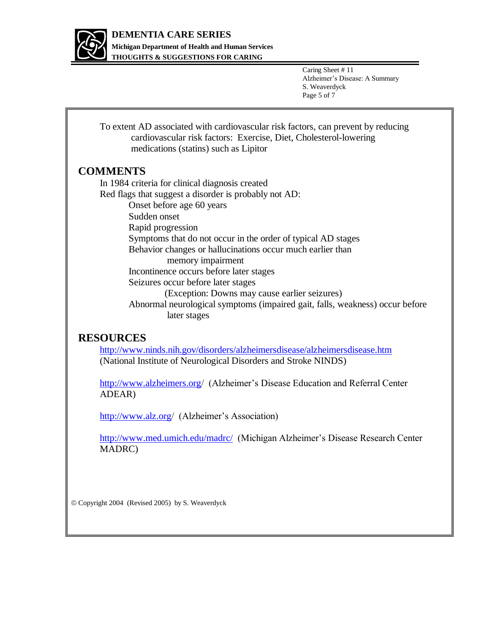

**THOUGHTS & SUGGESTIONS FOR CARING**

Caring Sheet # 11 Alzheimer's Disease: A Summary S. Weaverdyck Page 5 of 7

To extent AD associated with cardiovascular risk factors, can prevent by reducing cardiovascular risk factors: Exercise, Diet, Cholesterol-lowering medications (statins) such as Lipitor

#### **COMMENTS**

In 1984 criteria for clinical diagnosis created Red flags that suggest a disorder is probably not AD: Onset before age 60 years Sudden onset Rapid progression Symptoms that do not occur in the order of typical AD stages Behavior changes or hallucinations occur much earlier than memory impairment Incontinence occurs before later stages Seizures occur before later stages (Exception: Downs may cause earlier seizures) Abnormal neurological symptoms (impaired gait, falls, weakness) occur before later stages

#### **RESOURCES**

<http://www.ninds.nih.gov/disorders/alzheimersdisease/alzheimersdisease.htm> (National Institute of Neurological Disorders and Stroke NINDS)

<http://www.alzheimers.org/> (Alzheimer's Disease Education and Referral Center ADEAR)

<http://www.alz.org/> (Alzheimer's Association)

<http://www.med.umich.edu/madrc/>(Michigan Alzheimer's Disease Research Center MADRC)

Copyright 2004 (Revised 2005) by S. Weaverdyck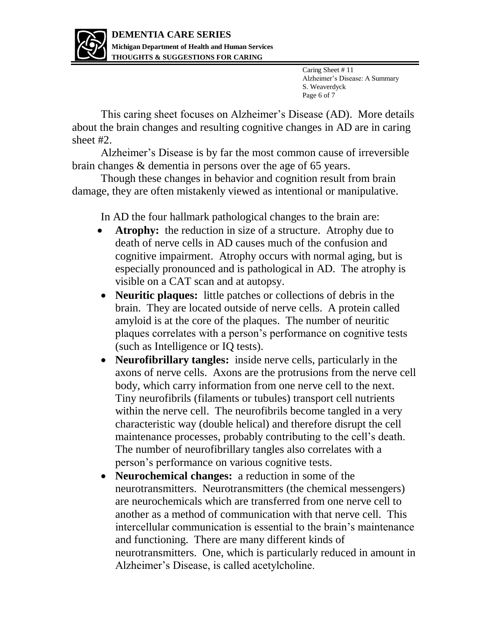

Caring Sheet # 11 Alzheimer's Disease: A Summary S. Weaverdyck Page 6 of 7

This caring sheet focuses on Alzheimer's Disease (AD). More details about the brain changes and resulting cognitive changes in AD are in caring sheet #2.

Alzheimer's Disease is by far the most common cause of irreversible brain changes & dementia in persons over the age of 65 years.

Though these changes in behavior and cognition result from brain damage, they are often mistakenly viewed as intentional or manipulative.

In AD the four hallmark pathological changes to the brain are:

- Atrophy: the reduction in size of a structure. Atrophy due to death of nerve cells in AD causes much of the confusion and cognitive impairment. Atrophy occurs with normal aging, but is especially pronounced and is pathological in AD. The atrophy is visible on a CAT scan and at autopsy.
- **Neuritic plaques:** little patches or collections of debris in the brain. They are located outside of nerve cells. A protein called amyloid is at the core of the plaques. The number of neuritic plaques correlates with a person's performance on cognitive tests (such as Intelligence or IQ tests).
- **Neurofibrillary tangles:** inside nerve cells, particularly in the axons of nerve cells. Axons are the protrusions from the nerve cell body, which carry information from one nerve cell to the next. Tiny neurofibrils (filaments or tubules) transport cell nutrients within the nerve cell. The neurofibrils become tangled in a very characteristic way (double helical) and therefore disrupt the cell maintenance processes, probably contributing to the cell's death. The number of neurofibrillary tangles also correlates with a person's performance on various cognitive tests.
- **Neurochemical changes:** a reduction in some of the neurotransmitters. Neurotransmitters (the chemical messengers) are neurochemicals which are transferred from one nerve cell to another as a method of communication with that nerve cell. This intercellular communication is essential to the brain's maintenance and functioning. There are many different kinds of neurotransmitters. One, which is particularly reduced in amount in Alzheimer's Disease, is called acetylcholine.